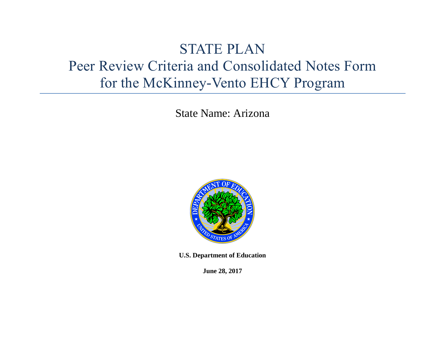# STATE PLAN Peer Review Criteria and Consolidated Notes Form for the McKinney-Vento EHCY Program

State Name: Arizona



**U.S. Department of Education** 

**June 28, 2017**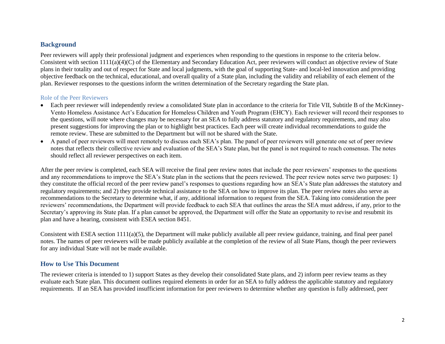### **Background**

Peer reviewers will apply their professional judgment and experiences when responding to the questions in response to the criteria below. Consistent with section 1111(a)(4)(C) of the Elementary and Secondary Education Act, peer reviewers will conduct an objective review of State plans in their totality and out of respect for State and local judgments, with the goal of supporting State- and local-led innovation and providing objective feedback on the technical, educational, and overall quality of a State plan, including the validity and reliability of each element of the plan. Reviewer responses to the questions inform the written determination of the Secretary regarding the State plan.

#### Role of the Peer Reviewers

- Each peer reviewer will independently review a consolidated State plan in accordance to the criteria for Title VII, Subtitle B of the McKinney-Vento Homeless Assistance Act's Education for Homeless Children and Youth Program (EHCY). Each reviewer will record their responses to the questions, will note where changes may be necessary for an SEA to fully address statutory and regulatory requirements, and may also present suggestions for improving the plan or to highlight best practices. Each peer will create individual recommendations to guide the remote review. These are submitted to the Department but will not be shared with the State.
- A panel of peer reviewers will meet remotely to discuss each SEA's plan. The panel of peer reviewers will generate one set of peer review notes that reflects their collective review and evaluation of the SEA's State plan, but the panel is not required to reach consensus. The notes should reflect all reviewer perspectives on each item.

After the peer review is completed, each SEA will receive the final peer review notes that include the peer reviewers' responses to the questions and any recommendations to improve the SEA's State plan in the sections that the peers reviewed. The peer review notes serve two purposes: 1) they constitute the official record of the peer review panel's responses to questions regarding how an SEA's State plan addresses the statutory and regulatory requirements; and 2) they provide technical assistance to the SEA on how to improve its plan. The peer review notes also serve as recommendations to the Secretary to determine what, if any, additional information to request from the SEA. Taking into consideration the peer reviewers' recommendations, the Department will provide feedback to each SEA that outlines the areas the SEA must address, if any, prior to the Secretary's approving its State plan. If a plan cannot be approved, the Department will offer the State an opportunity to revise and resubmit its plan and have a hearing, consistent with ESEA section 8451.

Consistent with ESEA section 1111(a)(5), the Department will make publicly available all peer review guidance, training, and final peer panel notes. The names of peer reviewers will be made publicly available at the completion of the review of all State Plans, though the peer reviewers for any individual State will not be made available.

## **How to Use This Document**

The reviewer criteria is intended to 1) support States as they develop their consolidated State plans, and 2) inform peer review teams as they evaluate each State plan. This document outlines required elements in order for an SEA to fully address the applicable statutory and regulatory requirements. If an SEA has provided insufficient information for peer reviewers to determine whether any question is fully addressed, peer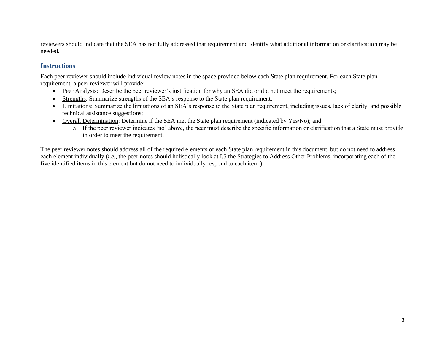reviewers should indicate that the SEA has not fully addressed that requirement and identify what additional information or clarification may be needed.

### **Instructions**

Each peer reviewer should include individual review notes in the space provided below each State plan requirement. For each State plan requirement, a peer reviewer will provide:

- Peer Analysis: Describe the peer reviewer's justification for why an SEA did or did not meet the requirements;
- Strengths: Summarize strengths of the SEA's response to the State plan requirement;
- Limitations: Summarize the limitations of an SEA's response to the State plan requirement, including issues, lack of clarity, and possible technical assistance suggestions;
- Overall Determination: Determine if the SEA met the State plan requirement (indicated by Yes/No); and
	- o If the peer reviewer indicates 'no' above, the peer must describe the specific information or clarification that a State must provide in order to meet the requirement.

The peer reviewer notes should address all of the required elements of each State plan requirement in this document, but do not need to address each element individually (*i.e.*, the peer notes should holistically look at I.5 the Strategies to Address Other Problems, incorporating each of the five identified items in this element but do not need to individually respond to each item ).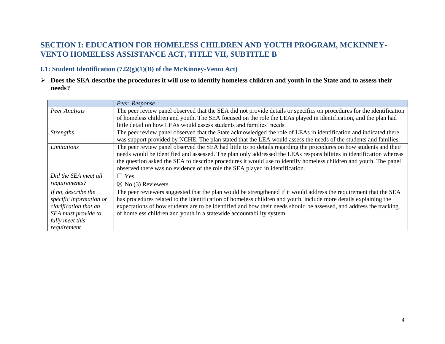# **SECTION I: EDUCATION FOR HOMELESS CHILDREN AND YOUTH PROGRAM, MCKINNEY-VENTO HOMELESS ASSISTANCE ACT, TITLE VII, SUBTITLE B**

# **I.1: Student Identification (722(g)(1)(B) of the McKinney-Vento Act)**

 **Does the SEA describe the procedures it will use to identify homeless children and youth in the State and to assess their needs?**

|                         | Peer Response                                                                                                         |
|-------------------------|-----------------------------------------------------------------------------------------------------------------------|
| Peer Analysis           | The peer review panel observed that the SEA did not provide details or specifics on procedures for the identification |
|                         | of homeless children and youth. The SEA focused on the role the LEAs played in identification, and the plan had       |
|                         | little detail on how LEAs would assess students and families' needs.                                                  |
| <b>Strengths</b>        | The peer review panel observed that the State acknowledged the role of LEAs in identification and indicated there     |
|                         | was support provided by NCHE. The plan stated that the LEA would assess the needs of the students and families.       |
| Limitations             | The peer review panel observed the SEA had little to no details regarding the procedures on how students and their    |
|                         | needs would be identified and assessed. The plan only addressed the LEAs responsibilities in identification whereas   |
|                         | the question asked the SEA to describe procedures it would use to identify homeless children and youth. The panel     |
|                         | observed there was no evidence of the role the SEA played in identification.                                          |
| Did the SEA meet all    | $\Box$ Yes                                                                                                            |
| requirements?           | $\boxtimes$ No (3) Reviewers                                                                                          |
| If no, describe the     | The peer reviewers suggested that the plan would be strengthened if it would address the requirement that the SEA     |
| specific information or | has procedures related to the identification of homeless children and youth, include more details explaining the      |
| clarification that an   | expectations of how students are to be identified and how their needs should be assessed, and address the tracking    |
| SEA must provide to     | of homeless children and youth in a statewide accountability system.                                                  |
| fully meet this         |                                                                                                                       |
| requirement             |                                                                                                                       |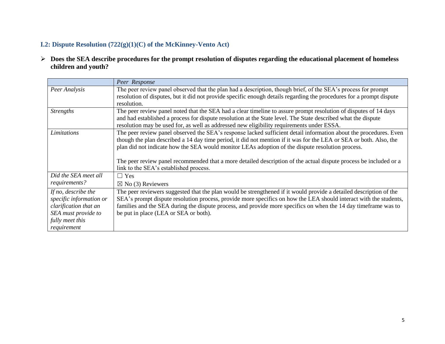# **I.2: Dispute Resolution (722(g)(1)(C) of the McKinney-Vento Act)**

 **Does the SEA describe procedures for the prompt resolution of disputes regarding the educational placement of homeless children and youth?** 

|                                                                                                                                  | Peer Response                                                                                                                                                                                                                                                                                                                                                                                                                                                                                              |
|----------------------------------------------------------------------------------------------------------------------------------|------------------------------------------------------------------------------------------------------------------------------------------------------------------------------------------------------------------------------------------------------------------------------------------------------------------------------------------------------------------------------------------------------------------------------------------------------------------------------------------------------------|
| Peer Analysis                                                                                                                    | The peer review panel observed that the plan had a description, though brief, of the SEA's process for prompt<br>resolution of disputes, but it did not provide specific enough details regarding the procedures for a prompt dispute<br>resolution.                                                                                                                                                                                                                                                       |
| <b>Strengths</b>                                                                                                                 | The peer review panel noted that the SEA had a clear timeline to assure prompt resolution of disputes of 14 days<br>and had established a process for dispute resolution at the State level. The State described what the dispute<br>resolution may be used for, as well as addressed new eligibility requirements under ESSA.                                                                                                                                                                             |
| Limitations                                                                                                                      | The peer review panel observed the SEA's response lacked sufficient detail information about the procedures. Even<br>though the plan described a 14 day time period, it did not mention if it was for the LEA or SEA or both. Also, the<br>plan did not indicate how the SEA would monitor LEAs adoption of the dispute resolution process.<br>The peer review panel recommended that a more detailed description of the actual dispute process be included or a<br>link to the SEA's established process. |
| Did the SEA meet all<br>requirements?                                                                                            | $\Box$ Yes<br>$\boxtimes$ No (3) Reviewers                                                                                                                                                                                                                                                                                                                                                                                                                                                                 |
| If no, describe the<br>specific information or<br>clarification that an<br>SEA must provide to<br>fully meet this<br>requirement | The peer reviewers suggested that the plan would be strengthened if it would provide a detailed description of the<br>SEA's prompt dispute resolution process, provide more specifics on how the LEA should interact with the students,<br>families and the SEA during the dispute process, and provide more specifics on when the 14 day time frame was to<br>be put in place (LEA or SEA or both).                                                                                                       |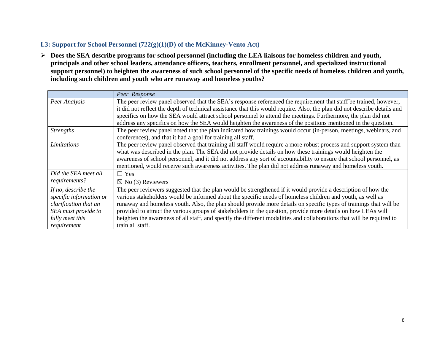# **I.3: Support for School Personnel (722(g)(1)(D) of the McKinney-Vento Act)**

 **Does the SEA describe programs for school personnel (including the LEA liaisons for homeless children and youth, principals and other school leaders, attendance officers, teachers, enrollment personnel, and specialized instructional support personnel) to heighten the awareness of such school personnel of the specific needs of homeless children and youth, including such children and youth who are runaway and homeless youths?**

|                         | Peer Response                                                                                                             |
|-------------------------|---------------------------------------------------------------------------------------------------------------------------|
| Peer Analysis           | The peer review panel observed that the SEA's response referenced the requirement that staff be trained, however,         |
|                         | it did not reflect the depth of technical assistance that this would require. Also, the plan did not describe details and |
|                         | specifics on how the SEA would attract school personnel to attend the meetings. Furthermore, the plan did not             |
|                         | address any specifics on how the SEA would heighten the awareness of the positions mentioned in the question.             |
| <i>Strengths</i>        | The peer review panel noted that the plan indicated how trainings would occur (in-person, meetings, webinars, and         |
|                         | conferences), and that it had a goal for training all staff.                                                              |
| Limitations             | The peer review panel observed that training all staff would require a more robust process and support system than        |
|                         | what was described in the plan. The SEA did not provide details on how these trainings would heighten the                 |
|                         | awareness of school personnel, and it did not address any sort of accountability to ensure that school personnel, as      |
|                         | mentioned, would receive such awareness activities. The plan did not address runaway and homeless youth.                  |
| Did the SEA meet all    | $\Box$ Yes                                                                                                                |
| requirements?           | $\boxtimes$ No (3) Reviewers                                                                                              |
| If no, describe the     | The peer reviewers suggested that the plan would be strengthened if it would provide a description of how the             |
| specific information or | various stakeholders would be informed about the specific needs of homeless children and youth, as well as                |
| clarification that an   | runaway and homeless youth. Also, the plan should provide more details on specific types of trainings that will be        |
| SEA must provide to     | provided to attract the various groups of stakeholders in the question, provide more details on how LEAs will             |
| fully meet this         | heighten the awareness of all staff, and specify the different modalities and collaborations that will be required to     |
| requirement             | train all staff.                                                                                                          |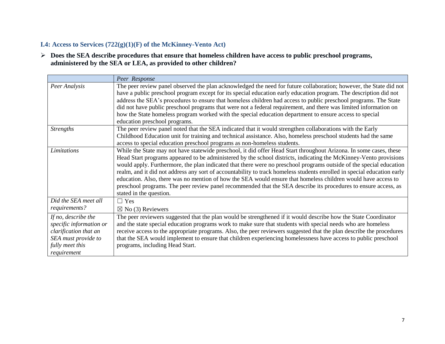# **I.4: Access to Services (722(g)(1)(F) of the McKinney-Vento Act)**

 **Does the SEA describe procedures that ensure that homeless children have access to public preschool programs, administered by the SEA or LEA, as provided to other children?** 

|                                                                                                                                  | Peer Response                                                                                                                                                                                                                                                                                                                                                                                                                                                                                                                                                                                                                                                                                                                                            |
|----------------------------------------------------------------------------------------------------------------------------------|----------------------------------------------------------------------------------------------------------------------------------------------------------------------------------------------------------------------------------------------------------------------------------------------------------------------------------------------------------------------------------------------------------------------------------------------------------------------------------------------------------------------------------------------------------------------------------------------------------------------------------------------------------------------------------------------------------------------------------------------------------|
| Peer Analysis                                                                                                                    | The peer review panel observed the plan acknowledged the need for future collaboration; however, the State did not<br>have a public preschool program except for its special education early education program. The description did not<br>address the SEA's procedures to ensure that homeless children had access to public preschool programs. The State<br>did not have public preschool programs that were not a federal requirement, and there was limited information on<br>how the State homeless program worked with the special education department to ensure access to special                                                                                                                                                               |
| <b>Strengths</b>                                                                                                                 | education preschool programs.<br>The peer review panel noted that the SEA indicated that it would strengthen collaborations with the Early<br>Childhood Education unit for training and technical assistance. Also, homeless preschool students had the same<br>access to special education preschool programs as non-homeless students.                                                                                                                                                                                                                                                                                                                                                                                                                 |
| Limitations                                                                                                                      | While the State may not have statewide preschool, it did offer Head Start throughout Arizona. In some cases, these<br>Head Start programs appeared to be administered by the school districts, indicating the McKinney-Vento provisions<br>would apply. Furthermore, the plan indicated that there were no preschool programs outside of the special education<br>realm, and it did not address any sort of accountability to track homeless students enrolled in special education early<br>education. Also, there was no mention of how the SEA would ensure that homeless children would have access to<br>preschool programs. The peer review panel recommended that the SEA describe its procedures to ensure access, as<br>stated in the question. |
| Did the SEA meet all<br>requirements?                                                                                            | $\Box$ Yes<br>$\boxtimes$ No (3) Reviewers                                                                                                                                                                                                                                                                                                                                                                                                                                                                                                                                                                                                                                                                                                               |
| If no, describe the<br>specific information or<br>clarification that an<br>SEA must provide to<br>fully meet this<br>requirement | The peer reviewers suggested that the plan would be strengthened if it would describe how the State Coordinator<br>and the state special education programs work to make sure that students with special needs who are homeless<br>receive access to the appropriate programs. Also, the peer reviewers suggested that the plan describe the procedures<br>that the SEA would implement to ensure that children experiencing homelessness have access to public preschool<br>programs, including Head Start.                                                                                                                                                                                                                                             |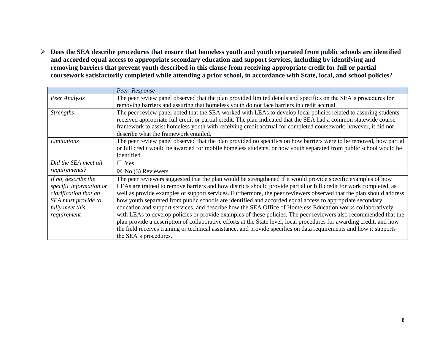**Does the SEA describe procedures that ensure that homeless youth and youth separated from public schools are identified and accorded equal access to appropriate secondary education and support services, including by identifying and removing barriers that prevent youth described in this clause from receiving appropriate credit for full or partial coursework satisfactorily completed while attending a prior school, in accordance with State, local, and school policies?**

|                         | Peer Response                                                                                                         |
|-------------------------|-----------------------------------------------------------------------------------------------------------------------|
| Peer Analysis           | The peer review panel observed that the plan provided limited details and specifics on the SEA's procedures for       |
|                         | removing barriers and assuring that homeless youth do not face barriers in credit accrual.                            |
| <i>Strengths</i>        | The peer review panel noted that the SEA worked with LEAs to develop local policies related to assuring students      |
|                         | received appropriate full credit or partial credit. The plan indicated that the SEA had a common statewide course     |
|                         | framework to assist homeless youth with receiving credit accrual for completed coursework; however, it did not        |
|                         | describe what the framework entailed.                                                                                 |
| Limitations             | The peer review panel observed that the plan provided no specifics on how barriers were to be removed, how partial    |
|                         | or full credit would be awarded for mobile homeless students, or how youth separated from public school would be      |
|                         | identified.                                                                                                           |
| Did the SEA meet all    | $\Box$ Yes                                                                                                            |
| requirements?           | $\boxtimes$ No (3) Reviewers                                                                                          |
| If no, describe the     | The peer reviewers suggested that the plan would be strengthened if it would provide specific examples of how         |
| specific information or | LEAs are trained to remove barriers and how districts should provide partial or full credit for work completed, as    |
| clarification that an   | well as provide examples of support services. Furthermore, the peer reviewers observed that the plan should address   |
| SEA must provide to     | how youth separated from public schools are identified and accorded equal access to appropriate secondary             |
| fully meet this         | education and support services, and describe how the SEA Office of Homeless Education works collaboratively           |
| requirement             | with LEAs to develop policies or provide examples of these policies. The peer reviewers also recommended that the     |
|                         | plan provide a description of collaborative efforts at the State level, local procedures for awarding credit, and how |
|                         | the field receives training or technical assistance, and provide specifics on data requirements and how it supports   |
|                         | the SEA's procedures.                                                                                                 |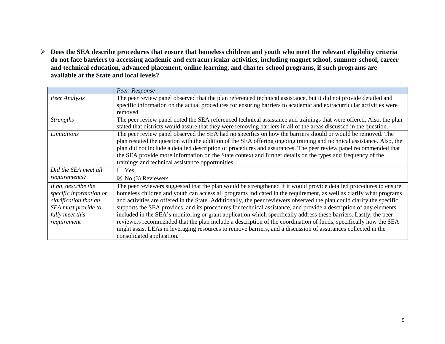**Does the SEA describe procedures that ensure that homeless children and youth who meet the relevant eligibility criteria do not face barriers to accessing academic and extracurricular activities, including magnet school, summer school, career and technical education, advanced placement, online learning, and charter school programs, if such programs are available at the State and local levels?** 

|                         | Peer Response                                                                                                          |
|-------------------------|------------------------------------------------------------------------------------------------------------------------|
| Peer Analysis           | The peer review panel observed that the plan referenced technical assistance, but it did not provide detailed and      |
|                         | specific information on the actual procedures for ensuring barriers to academic and extracurricular activities were    |
|                         | removed.                                                                                                               |
| <b>Strengths</b>        | The peer review panel noted the SEA referenced technical assistance and trainings that were offered. Also, the plan    |
|                         | stated that districts would assure that they were removing barriers in all of the areas discussed in the question.     |
| Limitations             | The peer review panel observed the SEA had no specifics on how the barriers should or would be removed. The            |
|                         | plan restated the question with the addition of the SEA offering ongoing training and technical assistance. Also, the  |
|                         | plan did not include a detailed description of procedures and assurances. The peer review panel recommended that       |
|                         | the SEA provide more information on the State context and further details on the types and frequency of the            |
|                         | trainings and technical assistance opportunities.                                                                      |
| Did the SEA meet all    | $\Box$ Yes                                                                                                             |
| requirements?           | $\boxtimes$ No (3) Reviewers                                                                                           |
| If no, describe the     | The peer reviewers suggested that the plan would be strengthened if it would provide detailed procedures to ensure     |
| specific information or | homeless children and youth can access all programs indicated in the requirement, as well as clarify what programs     |
| clarification that an   | and activities are offered in the State. Additionally, the peer reviewers observed the plan could clarify the specific |
| SEA must provide to     | supports the SEA provides, and its procedures for technical assistance, and provide a description of any elements      |
| fully meet this         | included in the SEA's monitoring or grant application which specifically address these barriers. Lastly, the peer      |
| requirement             | reviewers recommended that the plan include a description of the coordination of funds, specifically how the SEA       |
|                         | might assist LEAs in leveraging resources to remove barriers, and a discussion of assurances collected in the          |
|                         | consolidated application.                                                                                              |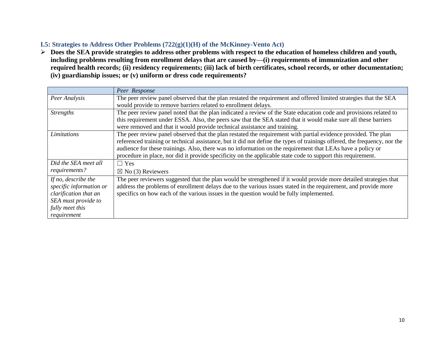# **I.5: Strategies to Address Other Problems (722(g)(1)(H) of the McKinney-Vento Act)**

 **Does the SEA provide strategies to address other problems with respect to the education of homeless children and youth, including problems resulting from enrollment delays that are caused by—(i) requirements of immunization and other required health records; (ii) residency requirements; (iii) lack of birth certificates, school records, or other documentation; (iv) guardianship issues; or (v) uniform or dress code requirements?**

|                                                                                                                                  | Peer Response                                                                                                                                                                                                                                                                                                                                                                                                                                                             |
|----------------------------------------------------------------------------------------------------------------------------------|---------------------------------------------------------------------------------------------------------------------------------------------------------------------------------------------------------------------------------------------------------------------------------------------------------------------------------------------------------------------------------------------------------------------------------------------------------------------------|
| Peer Analysis                                                                                                                    | The peer review panel observed that the plan restated the requirement and offered limited strategies that the SEA<br>would provide to remove barriers related to enrollment delays.                                                                                                                                                                                                                                                                                       |
| <b>Strengths</b>                                                                                                                 | The peer review panel noted that the plan indicated a review of the State education code and provisions related to<br>this requirement under ESSA. Also, the peers saw that the SEA stated that it would make sure all these barriers<br>were removed and that it would provide technical assistance and training.                                                                                                                                                        |
| Limitations                                                                                                                      | The peer review panel observed that the plan restated the requirement with partial evidence provided. The plan<br>referenced training or technical assistance, but it did not define the types of trainings offered, the frequency, nor the<br>audience for these trainings. Also, there was no information on the requirement that LEAs have a policy or<br>procedure in place, nor did it provide specificity on the applicable state code to support this requirement. |
| Did the SEA meet all                                                                                                             | $\Box$ Yes                                                                                                                                                                                                                                                                                                                                                                                                                                                                |
| requirements?                                                                                                                    | $\boxtimes$ No (3) Reviewers                                                                                                                                                                                                                                                                                                                                                                                                                                              |
| If no, describe the<br>specific information or<br>clarification that an<br>SEA must provide to<br>fully meet this<br>requirement | The peer reviewers suggested that the plan would be strengthened if it would provide more detailed strategies that<br>address the problems of enrollment delays due to the various issues stated in the requirement, and provide more<br>specifics on how each of the various issues in the question would be fully implemented.                                                                                                                                          |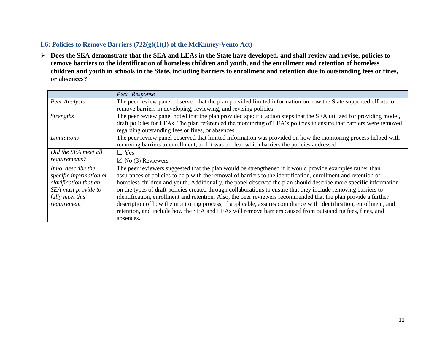## **I.6: Policies to Remove Barriers (722(g)(1)(I) of the McKinney-Vento Act)**

 **Does the SEA demonstrate that the SEA and LEAs in the State have developed, and shall review and revise, policies to remove barriers to the identification of homeless children and youth, and the enrollment and retention of homeless children and youth in schools in the State, including barriers to enrollment and retention due to outstanding fees or fines, or absences?**

|                                                                                                                                  | Peer Response                                                                                                                                                                                                                                                                                                                                                                                                                                                                                                                                                                                                                                                                                                                                                                                                                      |
|----------------------------------------------------------------------------------------------------------------------------------|------------------------------------------------------------------------------------------------------------------------------------------------------------------------------------------------------------------------------------------------------------------------------------------------------------------------------------------------------------------------------------------------------------------------------------------------------------------------------------------------------------------------------------------------------------------------------------------------------------------------------------------------------------------------------------------------------------------------------------------------------------------------------------------------------------------------------------|
| Peer Analysis                                                                                                                    | The peer review panel observed that the plan provided limited information on how the State supported efforts to<br>remove barriers in developing, reviewing, and revising policies.                                                                                                                                                                                                                                                                                                                                                                                                                                                                                                                                                                                                                                                |
| <b>Strengths</b>                                                                                                                 | The peer review panel noted that the plan provided specific action steps that the SEA utilized for providing model,<br>draft policies for LEAs. The plan referenced the monitoring of LEA's policies to ensure that barriers were removed<br>regarding outstanding fees or fines, or absences.                                                                                                                                                                                                                                                                                                                                                                                                                                                                                                                                     |
| Limitations                                                                                                                      | The peer review panel observed that limited information was provided on how the monitoring process helped with<br>removing barriers to enrollment, and it was unclear which barriers the policies addressed.                                                                                                                                                                                                                                                                                                                                                                                                                                                                                                                                                                                                                       |
| Did the SEA meet all                                                                                                             | $\Box$ Yes                                                                                                                                                                                                                                                                                                                                                                                                                                                                                                                                                                                                                                                                                                                                                                                                                         |
| requirements?                                                                                                                    | $\boxtimes$ No (3) Reviewers                                                                                                                                                                                                                                                                                                                                                                                                                                                                                                                                                                                                                                                                                                                                                                                                       |
| If no, describe the<br>specific information or<br>clarification that an<br>SEA must provide to<br>fully meet this<br>requirement | The peer reviewers suggested that the plan would be strengthened if it would provide examples rather than<br>assurances of policies to help with the removal of barriers to the identification, enrollment and retention of<br>homeless children and youth. Additionally, the panel observed the plan should describe more specific information<br>on the types of draft policies created through collaborations to ensure that they include removing barriers to<br>identification, enrollment and retention. Also, the peer reviewers recommended that the plan provide a further<br>description of how the monitoring process, if applicable, assures compliance with identification, enrollment, and<br>retention, and include how the SEA and LEAs will remove barriers caused from outstanding fees, fines, and<br>absences. |